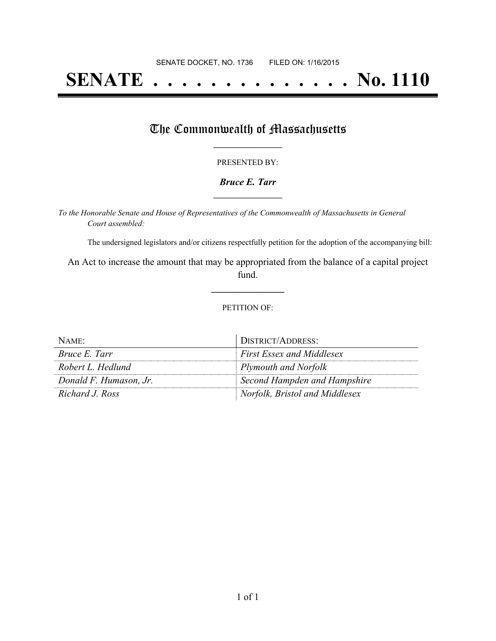# **SENATE . . . . . . . . . . . . . . No. 1110**

## The Commonwealth of Massachusetts

#### PRESENTED BY:

#### *Bruce E. Tarr* **\_\_\_\_\_\_\_\_\_\_\_\_\_\_\_\_\_**

*To the Honorable Senate and House of Representatives of the Commonwealth of Massachusetts in General Court assembled:*

The undersigned legislators and/or citizens respectfully petition for the adoption of the accompanying bill:

An Act to increase the amount that may be appropriated from the balance of a capital project fund.

**\_\_\_\_\_\_\_\_\_\_\_\_\_\_\_**

#### PETITION OF:

| NAME:                  | DISTRICT/ADDRESS:                |
|------------------------|----------------------------------|
| <i>Bruce E. Tarr</i>   | <b>First Essex and Middlesex</b> |
| Robert L. Hedlund      | Plymouth and Norfolk             |
| Donald F. Humason, Jr. | Second Hampden and Hampshire     |
| Richard J. Ross        | Norfolk, Bristol and Middlesex   |